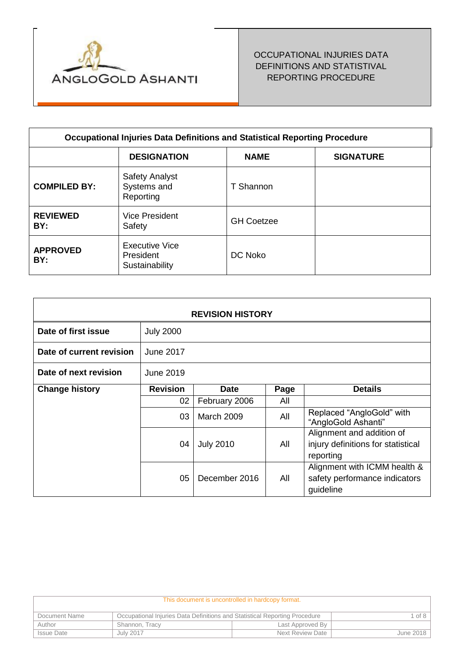

# OCCUPATIONAL INJURIES DATA DEFINITIONS AND STATISTIVAL REPORTING PROCEDURE

| <b>Occupational Injuries Data Definitions and Statistical Reporting Procedure</b> |                                                      |                   |                  |  |
|-----------------------------------------------------------------------------------|------------------------------------------------------|-------------------|------------------|--|
|                                                                                   | <b>DESIGNATION</b>                                   | <b>NAME</b>       | <b>SIGNATURE</b> |  |
| <b>COMPILED BY:</b>                                                               | <b>Safety Analyst</b><br>Systems and<br>Reporting    | T Shannon         |                  |  |
| <b>REVIEWED</b><br>BY:                                                            | <b>Vice President</b><br>Safety                      | <b>GH Coetzee</b> |                  |  |
| <b>APPROVED</b><br>BY:                                                            | <b>Executive Vice</b><br>President<br>Sustainability | DC Noko           |                  |  |

| <b>REVISION HISTORY</b>  |                  |                   |      |                                                                              |  |
|--------------------------|------------------|-------------------|------|------------------------------------------------------------------------------|--|
| Date of first issue      | <b>July 2000</b> |                   |      |                                                                              |  |
| Date of current revision | June 2017        |                   |      |                                                                              |  |
| Date of next revision    | June 2019        |                   |      |                                                                              |  |
| <b>Change history</b>    | <b>Revision</b>  | <b>Date</b>       | Page | <b>Details</b>                                                               |  |
|                          | 02               | February 2006     | All  |                                                                              |  |
|                          | 03               | <b>March 2009</b> | All  | Replaced "AngloGold" with<br>"AngloGold Ashanti"                             |  |
|                          | 04               | <b>July 2010</b>  | All  | Alignment and addition of<br>injury definitions for statistical<br>reporting |  |
|                          | 05               | December 2016     | All  | Alignment with ICMM health &<br>safety performance indicators<br>guideline   |  |

| This document is uncontrolled in hardcopy format. |                                                                            |                  |           |
|---------------------------------------------------|----------------------------------------------------------------------------|------------------|-----------|
| Document Name                                     | Occupational Injuries Data Definitions and Statistical Reporting Procedure |                  | of $81$   |
| Author                                            | Shannon, Tracy                                                             | Last Approved By |           |
| <b>Issue Date</b>                                 | July 2017                                                                  | Next Review Date | June 2018 |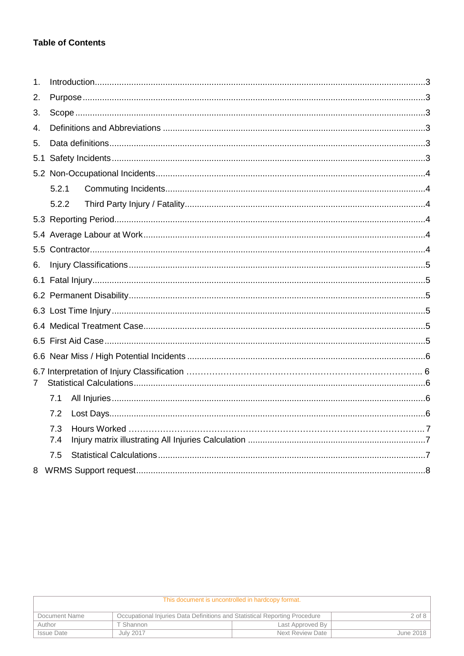# **Table of Contents**

| 1.  |       |  |
|-----|-------|--|
| 2.  |       |  |
| 3.  |       |  |
| 4.  |       |  |
| 5.  |       |  |
| 5.1 |       |  |
|     |       |  |
|     | 5.2.1 |  |
|     | 5.2.2 |  |
|     |       |  |
|     |       |  |
|     |       |  |
| 6.  |       |  |
|     |       |  |
|     |       |  |
|     |       |  |
|     |       |  |
|     |       |  |
|     |       |  |
|     |       |  |
| 7   |       |  |
|     | 7.1   |  |
|     | 7.2   |  |
|     | 7.3   |  |
|     | 7.4   |  |
|     | 7.5   |  |
|     |       |  |

| This document is uncontrolled in hardcopy format. |                                                                            |                  |                  |
|---------------------------------------------------|----------------------------------------------------------------------------|------------------|------------------|
| Document Name                                     | Occupational Injuries Data Definitions and Statistical Reporting Procedure |                  | $2$ of 8 $\vert$ |
| Author                                            | Γ Shannon                                                                  | Last Approved By |                  |
| <b>Issue Date</b>                                 | July 2017                                                                  | Next Review Date | June 2018        |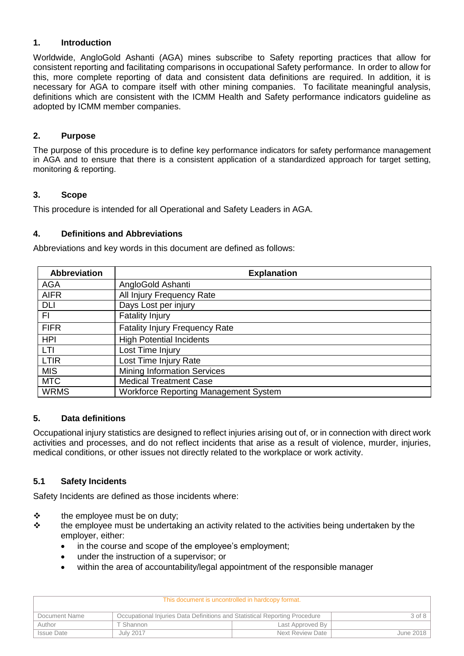## **1. Introduction**

Worldwide, AngloGold Ashanti (AGA) mines subscribe to Safety reporting practices that allow for consistent reporting and facilitating comparisons in occupational Safety performance. In order to allow for this, more complete reporting of data and consistent data definitions are required. In addition, it is necessary for AGA to compare itself with other mining companies. To facilitate meaningful analysis, definitions which are consistent with the ICMM Health and Safety performance indicators guideline as adopted by ICMM member companies.

## **2. Purpose**

The purpose of this procedure is to define key performance indicators for safety performance management in AGA and to ensure that there is a consistent application of a standardized approach for target setting, monitoring & reporting.

### **3. Scope**

This procedure is intended for all Operational and Safety Leaders in AGA.

### **4. Definitions and Abbreviations**

Abbreviations and key words in this document are defined as follows:

| <b>Abbreviation</b> | <b>Explanation</b>                           |
|---------------------|----------------------------------------------|
| <b>AGA</b>          | AngloGold Ashanti                            |
| <b>AIFR</b>         | All Injury Frequency Rate                    |
| <b>DLI</b>          | Days Lost per injury                         |
| FI.                 | <b>Fatality Injury</b>                       |
| <b>FIFR</b>         | <b>Fatality Injury Frequency Rate</b>        |
| <b>HPI</b>          | <b>High Potential Incidents</b>              |
| <b>LTI</b>          | Lost Time Injury                             |
| <b>LTIR</b>         | Lost Time Injury Rate                        |
| <b>MIS</b>          | <b>Mining Information Services</b>           |
| <b>MTC</b>          | <b>Medical Treatment Case</b>                |
| <b>WRMS</b>         | <b>Workforce Reporting Management System</b> |

# **5. Data definitions**

Occupational injury statistics are designed to reflect injuries arising out of, or in connection with direct work activities and processes, and do not reflect incidents that arise as a result of violence, murder, injuries, medical conditions, or other issues not directly related to the workplace or work activity.

# **5.1 Safety Incidents**

Safety Incidents are defined as those incidents where:

- ❖ the employee must be on duty;
- ❖ the employee must be undertaking an activity related to the activities being undertaken by the employer, either:
	- in the course and scope of the employee's employment;
	- under the instruction of a supervisor; or
	- within the area of accountability/legal appointment of the responsible manager

| This document is uncontrolled in hardcopy format. |                                                                            |                  |        |  |  |
|---------------------------------------------------|----------------------------------------------------------------------------|------------------|--------|--|--|
| Document Name                                     | Occupational Injuries Data Definitions and Statistical Reporting Procedure |                  | 3 of 8 |  |  |
| Author                                            | T Shannon                                                                  | Last Approved By |        |  |  |
| <b>Issue Date</b>                                 | Next Review Date<br>July 2017<br>June 2018                                 |                  |        |  |  |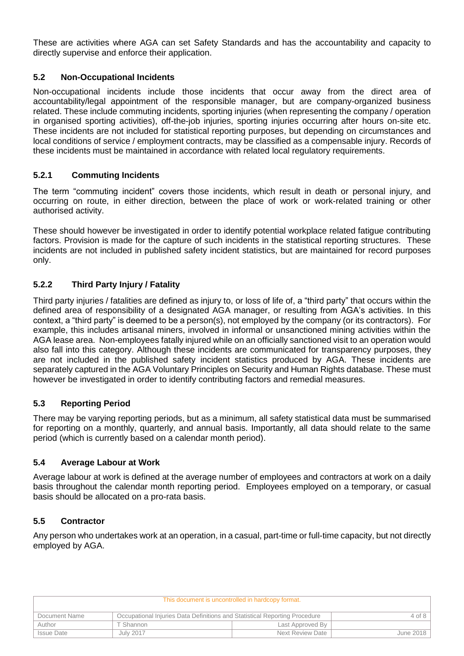These are activities where AGA can set Safety Standards and has the accountability and capacity to directly supervise and enforce their application.

# **5.2 Non-Occupational Incidents**

Non-occupational incidents include those incidents that occur away from the direct area of accountability/legal appointment of the responsible manager, but are company-organized business related. These include commuting incidents, sporting injuries (when representing the company / operation in organised sporting activities), off-the-job injuries, sporting injuries occurring after hours on-site etc. These incidents are not included for statistical reporting purposes, but depending on circumstances and local conditions of service / employment contracts, may be classified as a compensable injury. Records of these incidents must be maintained in accordance with related local regulatory requirements.

### **5.2.1 Commuting Incidents**

The term "commuting incident" covers those incidents, which result in death or personal injury, and occurring on route, in either direction, between the place of work or work-related training or other authorised activity.

These should however be investigated in order to identify potential workplace related fatigue contributing factors. Provision is made for the capture of such incidents in the statistical reporting structures. These incidents are not included in published safety incident statistics, but are maintained for record purposes only.

### **5.2.2 Third Party Injury / Fatality**

Third party injuries / fatalities are defined as injury to, or loss of life of, a "third party" that occurs within the defined area of responsibility of a designated AGA manager, or resulting from AGA's activities. In this context, a "third party" is deemed to be a person(s), not employed by the company (or its contractors). For example, this includes artisanal miners, involved in informal or unsanctioned mining activities within the AGA lease area. Non-employees fatally injured while on an officially sanctioned visit to an operation would also fall into this category. Although these incidents are communicated for transparency purposes, they are not included in the published safety incident statistics produced by AGA. These incidents are separately captured in the AGA Voluntary Principles on Security and Human Rights database. These must however be investigated in order to identify contributing factors and remedial measures.

### **5.3 Reporting Period**

There may be varying reporting periods, but as a minimum, all safety statistical data must be summarised for reporting on a monthly, quarterly, and annual basis. Importantly, all data should relate to the same period (which is currently based on a calendar month period).

### **5.4 Average Labour at Work**

Average labour at work is defined at the average number of employees and contractors at work on a daily basis throughout the calendar month reporting period. Employees employed on a temporary, or casual basis should be allocated on a pro-rata basis.

### **5.5 Contractor**

Any person who undertakes work at an operation, in a casual, part-time or full-time capacity, but not directly employed by AGA.

| This document is uncontrolled in hardcopy format.                                           |           |                  |           |
|---------------------------------------------------------------------------------------------|-----------|------------------|-----------|
| Occupational Injuries Data Definitions and Statistical Reporting Procedure<br>Document Name |           |                  | 4 of 8    |
| Author                                                                                      | T Shannon | Last Approved By |           |
| <b>Issue Date</b>                                                                           | July 2017 | Next Review Date | June 2018 |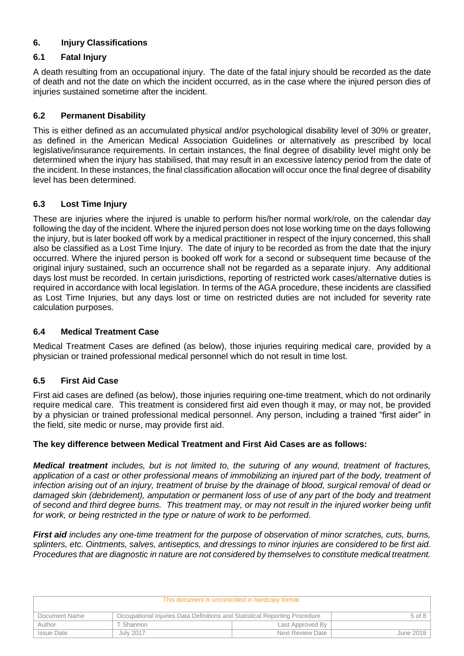# **6. Injury Classifications**

# **6.1 Fatal Injury**

A death resulting from an occupational injury. The date of the fatal injury should be recorded as the date of death and not the date on which the incident occurred, as in the case where the injured person dies of injuries sustained sometime after the incident.

# **6.2 Permanent Disability**

This is either defined as an accumulated physical and/or psychological disability level of 30% or greater, as defined in the American Medical Association Guidelines or alternatively as prescribed by local legislative/insurance requirements. In certain instances, the final degree of disability level might only be determined when the injury has stabilised, that may result in an excessive latency period from the date of the incident. In these instances, the final classification allocation will occur once the final degree of disability level has been determined.

# **6.3 Lost Time Injury**

These are injuries where the injured is unable to perform his/her normal work/role, on the calendar day following the day of the incident. Where the injured person does not lose working time on the days following the injury, but is later booked off work by a medical practitioner in respect of the injury concerned, this shall also be classified as a Lost Time Injury. The date of injury to be recorded as from the date that the injury occurred. Where the injured person is booked off work for a second or subsequent time because of the original injury sustained, such an occurrence shall not be regarded as a separate injury. Any additional days lost must be recorded. In certain jurisdictions, reporting of restricted work cases/alternative duties is required in accordance with local legislation. In terms of the AGA procedure, these incidents are classified as Lost Time Injuries, but any days lost or time on restricted duties are not included for severity rate calculation purposes.

# **6.4 Medical Treatment Case**

Medical Treatment Cases are defined (as below), those injuries requiring medical care, provided by a physician or trained professional medical personnel which do not result in time lost.

# **6.5 First Aid Case**

First aid cases are defined (as below), those injuries requiring one-time treatment, which do not ordinarily require medical care. This treatment is considered first aid even though it may, or may not, be provided by a physician or trained professional medical personnel. Any person, including a trained "first aider" in the field, site medic or nurse, may provide first aid.

# **The key difference between Medical Treatment and First Aid Cases are as follows:**

*Medical treatment includes, but is not limited to, the suturing of any wound, treatment of fractures,*  application of a cast or other professional means of immobilizing an injured part of the body, treatment of *infection arising out of an injury, treatment of bruise by the drainage of blood, surgical removal of dead or damaged skin (debridement), amputation or permanent loss of use of any part of the body and treatment of second and third degree burns. This treatment may, or may not result in the injured worker being unfit for work, or being restricted in the type or nature of work to be performed.*

*First aid includes any one-time treatment for the purpose of observation of minor scratches, cuts, burns, splinters, etc. Ointments, salves, antiseptics, and dressings to minor injuries are considered to be first aid. Procedures that are diagnostic in nature are not considered by themselves to constitute medical treatment.* 

| This document is uncontrolled in hardcopy format. |                                                                            |                  |            |  |  |
|---------------------------------------------------|----------------------------------------------------------------------------|------------------|------------|--|--|
| Document Name                                     | Occupational Injuries Data Definitions and Statistical Reporting Procedure |                  | $5$ of $8$ |  |  |
| Author                                            | Γ Shannon                                                                  | Last Approved By |            |  |  |
| <b>Issue Date</b>                                 | Next Review Date<br>July 2017<br>June 2018                                 |                  |            |  |  |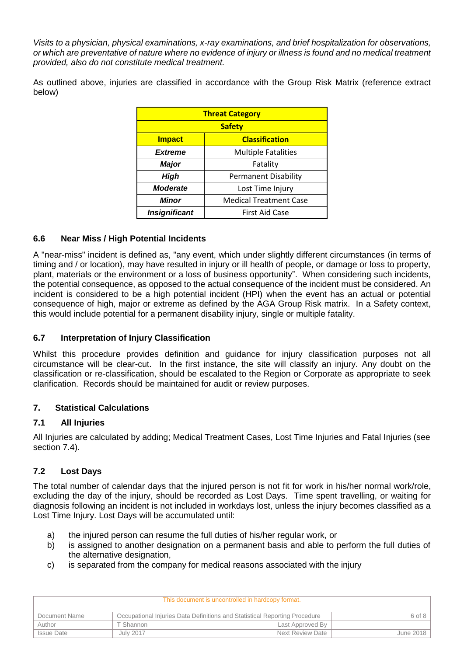*Visits to a physician, physical examinations, x-ray examinations, and brief hospitalization for observations, or which are preventative of nature where no evidence of injury or illness is found and no medical treatment provided, also do not constitute medical treatment.* 

As outlined above, injuries are classified in accordance with the Group Risk Matrix (reference extract below)

| <b>Threat Category</b>                 |                             |  |
|----------------------------------------|-----------------------------|--|
| <b>Safety</b>                          |                             |  |
| <b>Impact</b><br><b>Classification</b> |                             |  |
| <b>Extreme</b>                         | <b>Multiple Fatalities</b>  |  |
| <b>Major</b><br>Fatality               |                             |  |
| High                                   | <b>Permanent Disability</b> |  |
| <b>Moderate</b>                        | Lost Time Injury            |  |
| Minor<br><b>Medical Treatment Case</b> |                             |  |
| <b>Insignificant</b>                   | First Aid Case              |  |

### **6.6 Near Miss / High Potential Incidents**

A "near-miss" incident is defined as, "any event, which under slightly different circumstances (in terms of timing and / or location), may have resulted in injury or ill health of people, or damage or loss to property, plant, materials or the environment or a loss of business opportunity". When considering such incidents, the potential consequence, as opposed to the actual consequence of the incident must be considered. An incident is considered to be a high potential incident (HPI) when the event has an actual or potential consequence of high, major or extreme as defined by the AGA Group Risk matrix. In a Safety context, this would include potential for a permanent disability injury, single or multiple fatality.

### **6.7 Interpretation of Injury Classification**

Whilst this procedure provides definition and guidance for injury classification purposes not all circumstance will be clear-cut. In the first instance, the site will classify an injury. Any doubt on the classification or re-classification, should be escalated to the Region or Corporate as appropriate to seek clarification. Records should be maintained for audit or review purposes.

### **7. Statistical Calculations**

### **7.1 All Injuries**

All Injuries are calculated by adding; Medical Treatment Cases, Lost Time Injuries and Fatal Injuries (see section 7.4).

### **7.2 Lost Days**

The total number of calendar days that the injured person is not fit for work in his/her normal work/role, excluding the day of the injury, should be recorded as Lost Days. Time spent travelling, or waiting for diagnosis following an incident is not included in workdays lost, unless the injury becomes classified as a Lost Time Injury. Lost Days will be accumulated until:

- a) the injured person can resume the full duties of his/her regular work, or
- b) is assigned to another designation on a permanent basis and able to perform the full duties of the alternative designation,
- c) is separated from the company for medical reasons associated with the injury

| This document is uncontrolled in hardcopy format. |                                                                                          |                  |           |
|---------------------------------------------------|------------------------------------------------------------------------------------------|------------------|-----------|
| Document Name                                     | Occupational Injuries Data Definitions and Statistical Reporting Procedure<br>$6$ of $8$ |                  |           |
| Author                                            | T Shannon                                                                                | Last Approved By |           |
| <b>Issue Date</b>                                 | July 2017                                                                                | Next Review Date | June 2018 |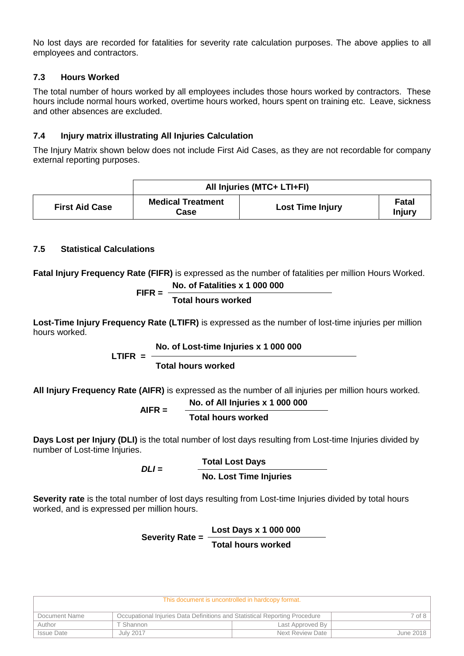No lost days are recorded for fatalities for severity rate calculation purposes. The above applies to all employees and contractors.

# **7.3 Hours Worked**

The total number of hours worked by all employees includes those hours worked by contractors. These hours include normal hours worked, overtime hours worked, hours spent on training etc. Leave, sickness and other absences are excluded.

# **7.4 Injury matrix illustrating All Injuries Calculation**

The Injury Matrix shown below does not include First Aid Cases, as they are not recordable for company external reporting purposes.

|                       | All Injuries (MTC+ LTI+FI)       |                         |                 |  |
|-----------------------|----------------------------------|-------------------------|-----------------|--|
| <b>First Aid Case</b> | <b>Medical Treatment</b><br>Case | <b>Lost Time Injury</b> | Fatal<br>Injury |  |

# **7.5 Statistical Calculations**

**Fatal Injury Frequency Rate (FIFR)** is expressed as the number of fatalities per million Hours Worked.

$$
FIFR = \frac{\text{No. of Fatalities x 1 000 000}}{\text{Total hours worked}}
$$

**Lost-Time Injury Frequency Rate (LTIFR)** is expressed as the number of lost-time injuries per million hours worked.

### **No. of Lost-time Injuries x 1 000 000**

 $L$  TIFR  $=$   $-$ 

**AIFR =** 

**Total hours worked**

**All Injury Frequency Rate (AIFR)** is expressed as the number of all injuries per million hours worked.

$$
= \frac{\text{No. of All Injuries x 1 000 000}}{\text{Total hours worked}}
$$

**Days Lost per Injury (DLI)** is the total number of lost days resulting from Lost-time Injuries divided by number of Lost-time Injuries.

*DLI* **= Total Lost Days No. Lost Time Injuries**

**Severity rate** is the total number of lost days resulting from Lost-time Injuries divided by total hours worked, and is expressed per million hours.

#### **Severity Rate = Lost Days x 1 000 000 Total hours worked**

| This document is uncontrolled in hardcopy format. |                                                                            |                  |             |  |
|---------------------------------------------------|----------------------------------------------------------------------------|------------------|-------------|--|
| Document Name                                     | Occupational Injuries Data Definitions and Statistical Reporting Procedure |                  | $7$ of $81$ |  |
| Author                                            | ΓShannon                                                                   | Last Approved By |             |  |
| <b>Issue Date</b>                                 | July 2017                                                                  | Next Review Date | June 2018   |  |